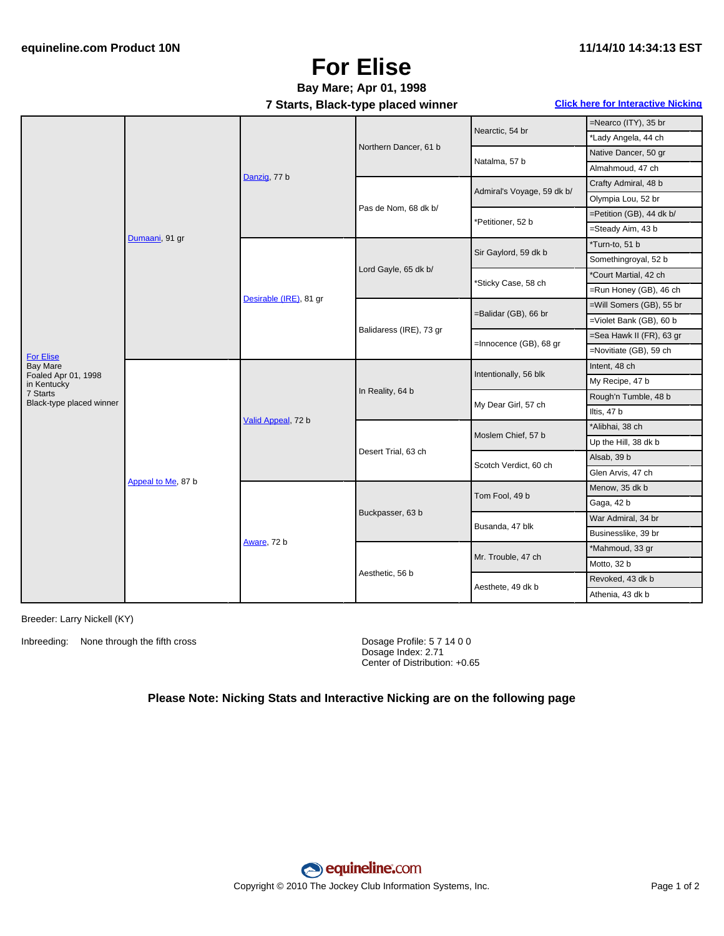## **For Elise**

## **Bay Mare; Apr 01, 1998**

**7 Starts, Black-type placed winner Click here for [Interactive](#page-1-0) Nicking**

|                                                                    |                    |                        | . .                     |                            |                          |
|--------------------------------------------------------------------|--------------------|------------------------|-------------------------|----------------------------|--------------------------|
| For Elise<br><b>Bay Mare</b><br>Foaled Apr 01, 1998<br>in Kentucky | Dumaani, 91 gr     | Danzig, 77 b           | Northern Dancer, 61 b   | Nearctic, 54 br            | =Nearco (ITY), 35 br     |
|                                                                    |                    |                        |                         |                            | *Lady Angela, 44 ch      |
|                                                                    |                    |                        |                         | Natalma, 57 b              | Native Dancer, 50 gr     |
|                                                                    |                    |                        |                         |                            | Almahmoud, 47 ch         |
|                                                                    |                    |                        | Pas de Nom, 68 dk b/    | Admiral's Voyage, 59 dk b/ | Crafty Admiral, 48 b     |
|                                                                    |                    |                        |                         |                            | Olympia Lou, 52 br       |
|                                                                    |                    |                        |                         | Petitioner, 52 b           | =Petition (GB), 44 dk b/ |
|                                                                    |                    |                        |                         |                            | =Steady Aim, 43 b        |
|                                                                    |                    | Desirable (IRE), 81 gr | Lord Gayle, 65 dk b/    | Sir Gaylord, 59 dk b       | *Turn-to, 51 b           |
|                                                                    |                    |                        |                         |                            | Somethingroyal, 52 b     |
|                                                                    |                    |                        |                         | *Sticky Case, 58 ch        | *Court Martial, 42 ch    |
|                                                                    |                    |                        |                         |                            | =Run Honey (GB), 46 ch   |
|                                                                    |                    |                        | Balidaress (IRE), 73 gr | =Balidar (GB), 66 br       | =Will Somers (GB), 55 br |
|                                                                    |                    |                        |                         |                            | =Violet Bank (GB), 60 b  |
|                                                                    |                    |                        |                         | =Innocence (GB), 68 gr     | =Sea Hawk II (FR), 63 gr |
|                                                                    |                    |                        |                         |                            | =Novitiate (GB), 59 ch   |
|                                                                    | Appeal to Me, 87 b | Valid Appeal, 72 b     | In Reality, 64 b        | Intentionally, 56 blk      | Intent, 48 ch            |
|                                                                    |                    |                        |                         |                            | My Recipe, 47 b          |
| 7 Starts<br>Black-type placed winner                               |                    |                        |                         | My Dear Girl, 57 ch        | Rough'n Tumble, 48 b     |
|                                                                    |                    |                        |                         |                            | Iltis, 47 b              |
|                                                                    |                    |                        | Desert Trial, 63 ch     |                            | *Alibhai, 38 ch          |
|                                                                    |                    |                        |                         | Moslem Chief, 57 b         | Up the Hill, 38 dk b     |
|                                                                    |                    |                        |                         | Scotch Verdict, 60 ch      | Alsab, 39 b              |
|                                                                    |                    |                        |                         |                            | Glen Arvis, 47 ch        |
|                                                                    |                    | Aware, 72 b            | Buckpasser, 63 b        | Tom Fool, 49 b             | Menow, 35 dk b           |
|                                                                    |                    |                        |                         |                            | Gaga, 42 b               |
|                                                                    |                    |                        |                         | Busanda, 47 blk            | War Admiral, 34 br       |
|                                                                    |                    |                        |                         |                            | Businesslike, 39 br      |
|                                                                    |                    |                        | Aesthetic, 56 b         |                            | *Mahmoud, 33 gr          |
|                                                                    |                    |                        |                         | Mr. Trouble, 47 ch         | Motto, 32 b              |
|                                                                    |                    |                        |                         |                            | Revoked, 43 dk b         |
|                                                                    |                    |                        |                         | Aesthete, 49 dk b          | Athenia, 43 dk b         |
|                                                                    |                    |                        |                         |                            |                          |

Breeder: Larry Nickell (KY)

Inbreeding: None through the fifth cross Dosage Profile: 5 7 14 0 0

Dosage Index: 2.71 Center of Distribution: +0.65

### **Please Note: Nicking Stats and Interactive Nicking are on the following page**